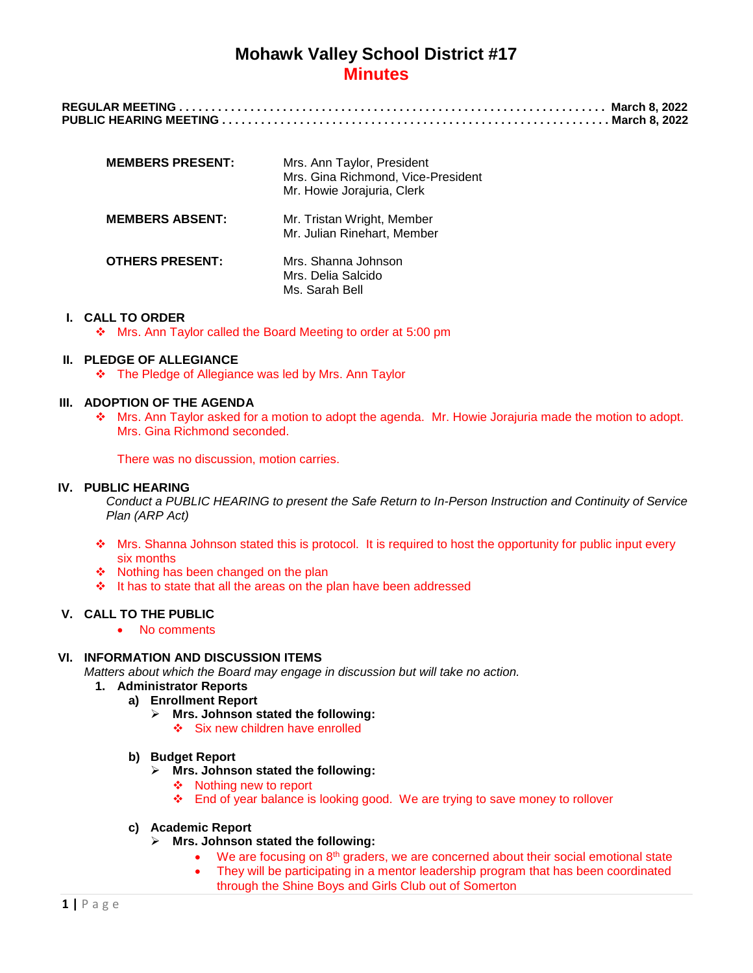| <b>MEMBERS PRESENT:</b> | Mrs. Ann Taylor, President<br>Mrs. Gina Richmond, Vice-President<br>Mr. Howie Jorajuria, Clerk |
|-------------------------|------------------------------------------------------------------------------------------------|
| <b>MEMBERS ABSENT:</b>  | Mr. Tristan Wright, Member<br>Mr. Julian Rinehart, Member                                      |
| <b>OTHERS PRESENT:</b>  | Mrs. Shanna Johnson<br>Mrs. Delia Salcido<br>Ms. Sarah Bell                                    |

### **I. CALL TO ORDER**

\* Mrs. Ann Taylor called the Board Meeting to order at 5:00 pm

## **II. PLEDGE OF ALLEGIANCE**

The Pledge of Allegiance was led by Mrs. Ann Taylor

### **III. ADOPTION OF THE AGENDA**

 Mrs. Ann Taylor asked for a motion to adopt the agenda. Mr. Howie Jorajuria made the motion to adopt. Mrs. Gina Richmond seconded.

There was no discussion, motion carries.

## **IV. PUBLIC HEARING**

*Conduct a PUBLIC HEARING to present the Safe Return to In-Person Instruction and Continuity of Service Plan (ARP Act)*

- ◆ Mrs. Shanna Johnson stated this is protocol. It is required to host the opportunity for public input every six months
- ❖ Nothing has been changed on the plan
- $\cdot \cdot$  It has to state that all the areas on the plan have been addressed

## **V. CALL TO THE PUBLIC**

• No comments

# **VI. INFORMATION AND DISCUSSION ITEMS**

*Matters about which the Board may engage in discussion but will take no action.*

- **1. Administrator Reports**
	- **a) Enrollment Report**
		- **Mrs. Johnson stated the following:**
			- Six new children have enrolled

## **b) Budget Report**

- **Mrs. Johnson stated the following:**
	- ❖ Nothing new to report
	- End of year balance is looking good. We are trying to save money to rollover

### **c) Academic Report**

- **Mrs. Johnson stated the following:**
	- We are focusing on 8<sup>th</sup> graders, we are concerned about their social emotional state
	- They will be participating in a mentor leadership program that has been coordinated through the Shine Boys and Girls Club out of Somerton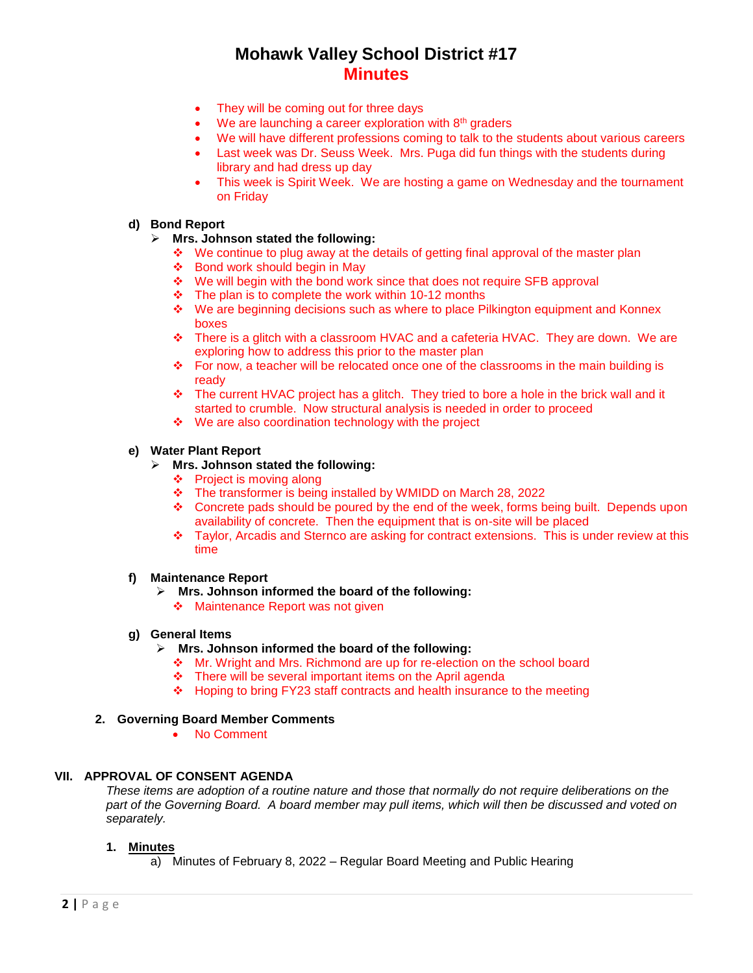- They will be coming out for three days
- $\bullet$  We are launching a career exploration with  $8<sup>th</sup>$  graders
- We will have different professions coming to talk to the students about various careers
- Last week was Dr. Seuss Week. Mrs. Puga did fun things with the students during library and had dress up day
- This week is Spirit Week. We are hosting a game on Wednesday and the tournament on Friday

## **d) Bond Report**

## **Mrs. Johnson stated the following:**

- $\div$  We continue to plug away at the details of getting final approval of the master plan
- Bond work should begin in May
- ◆ We will begin with the bond work since that does not require SFB approval
- $\div$  The plan is to complete the work within 10-12 months
- We are beginning decisions such as where to place Pilkington equipment and Konnex boxes
- There is a glitch with a classroom HVAC and a cafeteria HVAC. They are down. We are exploring how to address this prior to the master plan
- \* For now, a teacher will be relocated once one of the classrooms in the main building is ready
- $\bullet$  The current HVAC project has a glitch. They tried to bore a hole in the brick wall and it started to crumble. Now structural analysis is needed in order to proceed
- ◆ We are also coordination technology with the project

# **e) Water Plant Report**

## **Mrs. Johnson stated the following:**

- $\div$  Project is moving along
- \* The transformer is being installed by WMIDD on March 28, 2022
- Concrete pads should be poured by the end of the week, forms being built. Depends upon availability of concrete. Then the equipment that is on-site will be placed
- Taylor, Arcadis and Sternco are asking for contract extensions. This is under review at this time

## **f) Maintenance Report**

- **Mrs. Johnson informed the board of the following:**
	- ❖ Maintenance Report was not given

## **g) General Items**

- **Mrs. Johnson informed the board of the following:**
	- Mr. Wright and Mrs. Richmond are up for re-election on the school board
	- $\div$  There will be several important items on the April agenda
	- $\div$  Hoping to bring FY23 staff contracts and health insurance to the meeting

## **2. Governing Board Member Comments**

No Comment

## **VII. APPROVAL OF CONSENT AGENDA**

*These items are adoption of a routine nature and those that normally do not require deliberations on the part of the Governing Board. A board member may pull items, which will then be discussed and voted on separately.*

## **1. Minutes**

a) Minutes of February 8, 2022 – Regular Board Meeting and Public Hearing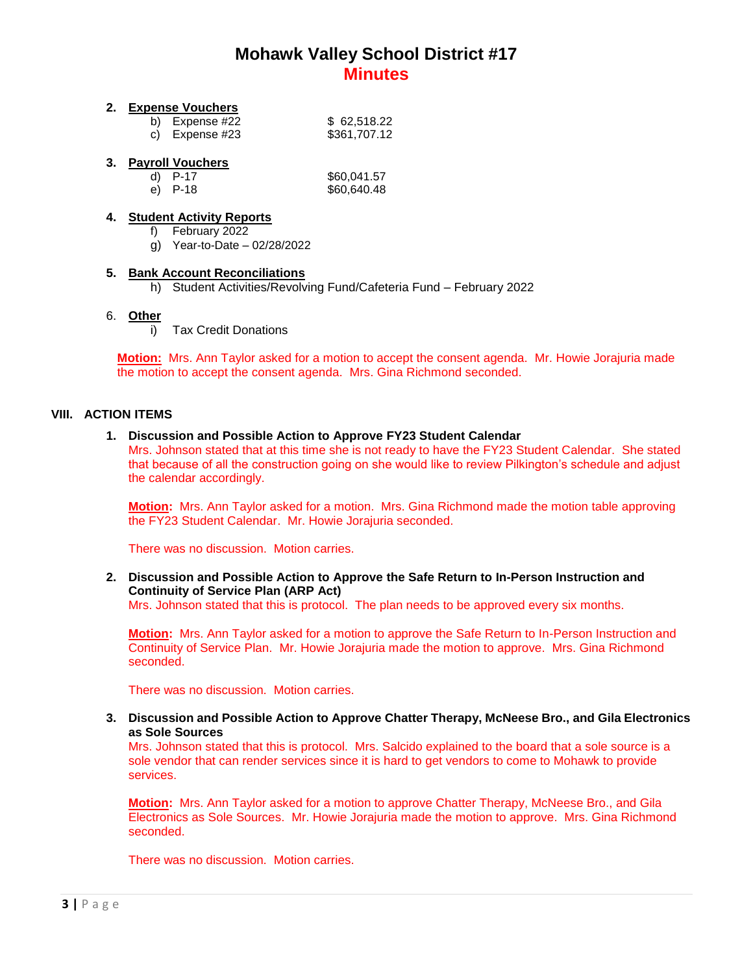## **2. Expense Vouchers**

| b) Expense #22 | \$62,518.22  |
|----------------|--------------|
| c) Expense #23 | \$361,707.12 |

## **3. Payroll Vouchers**

| d) P-17 | \$60,041.57 |
|---------|-------------|
| e) P-18 | \$60,640.48 |

## **4. Student Activity Reports**

- f) February 2022
- g) Year-to-Date 02/28/2022

## **5. Bank Account Reconciliations**

h) Student Activities/Revolving Fund/Cafeteria Fund – February 2022

### 6. **Other**

i) Tax Credit Donations

**Motion:** Mrs. Ann Taylor asked for a motion to accept the consent agenda. Mr. Howie Jorajuria made the motion to accept the consent agenda. Mrs. Gina Richmond seconded.

### **VIII. ACTION ITEMS**

### **1. Discussion and Possible Action to Approve FY23 Student Calendar**

Mrs. Johnson stated that at this time she is not ready to have the FY23 Student Calendar. She stated that because of all the construction going on she would like to review Pilkington's schedule and adjust the calendar accordingly.

**Motion:** Mrs. Ann Taylor asked for a motion.Mrs. Gina Richmond made the motion table approving the FY23 Student Calendar. Mr. Howie Jorajuria seconded.

There was no discussion. Motion carries.

### **2. Discussion and Possible Action to Approve the Safe Return to In-Person Instruction and Continuity of Service Plan (ARP Act)**

Mrs. Johnson stated that this is protocol. The plan needs to be approved every six months.

**Motion:** Mrs. Ann Taylor asked for a motion to approve the Safe Return to In-Person Instruction and Continuity of Service Plan.Mr. Howie Jorajuria made the motion to approve. Mrs. Gina Richmond seconded.

There was no discussion. Motion carries.

## **3. Discussion and Possible Action to Approve Chatter Therapy, McNeese Bro., and Gila Electronics as Sole Sources**

Mrs. Johnson stated that this is protocol. Mrs. Salcido explained to the board that a sole source is a sole vendor that can render services since it is hard to get vendors to come to Mohawk to provide services.

**Motion:** Mrs. Ann Taylor asked for a motion to approve Chatter Therapy, McNeese Bro., and Gila Electronics as Sole Sources. Mr. Howie Jorajuria made the motion to approve. Mrs. Gina Richmond seconded.

There was no discussion. Motion carries.